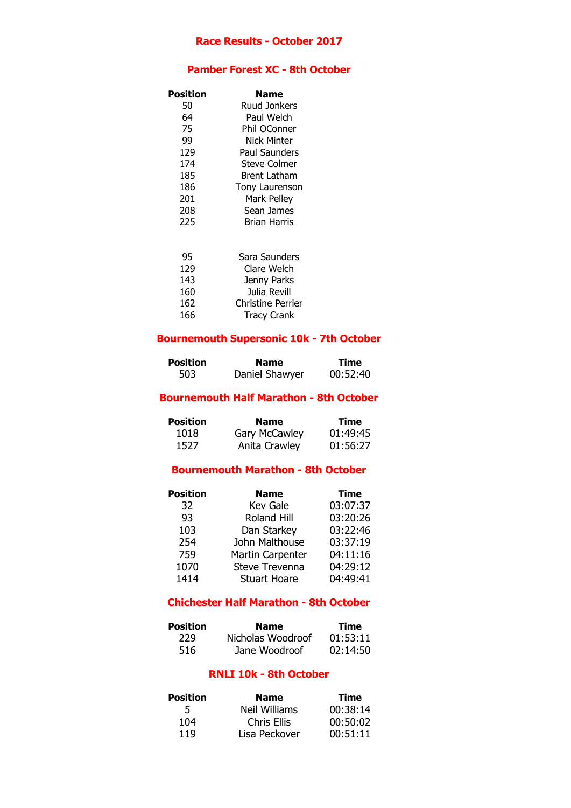#### **Race Results - October 2017**

### **Pamber Forest XC - 8th October**

| <b>Position</b> | Name                  |  |
|-----------------|-----------------------|--|
| 50              | <b>Ruud Jonkers</b>   |  |
| 64              | Paul Welch            |  |
| 75              | Phil OConner          |  |
| 99              | <b>Nick Minter</b>    |  |
| 129             | <b>Paul Saunders</b>  |  |
| 174             | <b>Steve Colmer</b>   |  |
| 185             | <b>Brent Latham</b>   |  |
| 186             | <b>Tony Laurenson</b> |  |
| 201             | <b>Mark Pelley</b>    |  |
| 208             | Sean James            |  |
| 225             | <b>Brian Harris</b>   |  |
|                 |                       |  |

| -95 | Sara Saunders            |
|-----|--------------------------|
| 129 | Clare Welch              |
| 143 | Jenny Parks              |
| 160 | Julia Revill             |
| 162 | <b>Christine Perrier</b> |
| 166 | <b>Tracy Crank</b>       |

#### **Bournemouth Supersonic 10k - 7th October**

| <b>Position</b> | <b>Name</b>    | <b>Time</b> |
|-----------------|----------------|-------------|
| 503             | Daniel Shawyer | 00:52:40    |

### **Bournemouth Half Marathon - 8th October**

| <b>Position</b> | <b>Name</b>          | <b>Time</b> |
|-----------------|----------------------|-------------|
| 1018            | <b>Gary McCawley</b> | 01:49:45    |
| 1527            | Anita Crawley        | 01:56:27    |

#### **Bournemouth Marathon - 8th October**

| <b>Position</b> | <b>Name</b>             | <b>Time</b> |
|-----------------|-------------------------|-------------|
| 32              | <b>Kev Gale</b>         | 03:07:37    |
| 93              | <b>Roland Hill</b>      | 03:20:26    |
| 103             | Dan Starkey             | 03:22:46    |
| 254             | John Malthouse          | 03:37:19    |
| 759             | <b>Martin Carpenter</b> | 04:11:16    |
| 1070            | <b>Steve Trevenna</b>   | 04:29:12    |
| 1414            | <b>Stuart Hoare</b>     | 04:49:41    |
|                 |                         |             |

# **Chichester Half Marathon - 8th October**

| <b>Position</b> | <b>Name</b>       | <b>Time</b> |
|-----------------|-------------------|-------------|
| 229             | Nicholas Woodroof | 01:53:11    |
| 516             | Jane Woodroof     | 02:14:50    |

#### **RNLI 10k - 8th October**

| <b>Position</b> | <b>Name</b>        | <b>Time</b> |
|-----------------|--------------------|-------------|
| 5               | Neil Williams      | 00:38:14    |
| 104             | <b>Chris Ellis</b> | 00:50:02    |
| 119             | Lisa Peckover      | 00:51:11    |